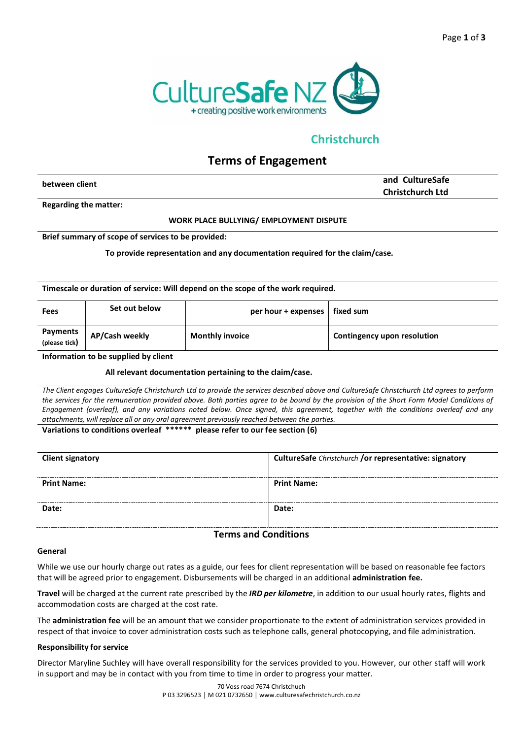

# **Christchurch**

# **Terms of Engagement**

| <b>Christchurch Ltd</b> | between client | and CultureSafe |
|-------------------------|----------------|-----------------|
|                         |                |                 |

**Regarding the matter:**

### **WORK PLACE BULLYING/ EMPLOYMENT DISPUTE**

#### **Brief summary of scope of services to be provided:**

**To provide representation and any documentation required for the claim/case.**

**Timescale or duration of service: Will depend on the scope of the work required.**

| Fees                             | Set out below  | per hour $+$ expenses $ $ | fixed sum                          |
|----------------------------------|----------------|---------------------------|------------------------------------|
| <b>Payments</b><br>(please tick) | AP/Cash weekly | <b>Monthly invoice</b>    | <b>Contingency upon resolution</b> |

**Information to be supplied by client**

### **All relevant documentation pertaining to the claim/case.**

*The Client engages CultureSafe Christchurch Ltd to provide the services described above and CultureSafe Christchurch Ltd agrees to perform the services for the remuneration provided above. Both parties agree to be bound by the provision of the Short Form Model Conditions of Engagement (overleaf), and any variations noted below. Once signed, this agreement, together with the conditions overleaf and any attachments, will replace all or any oral agreement previously reached between the parties.*

## **Variations to conditions overleaf \*\*\*\*\*\* please refer to our fee section (6)**

| <b>Client signatory</b> | CultureSafe Christchurch /or representative: signatory |
|-------------------------|--------------------------------------------------------|
| <b>Print Name:</b>      | <b>Print Name:</b>                                     |
| Date:                   | Date:                                                  |

## **Terms and Conditions**

#### **General**

While we use our hourly charge out rates as a guide, our fees for client representation will be based on reasonable fee factors that will be agreed prior to engagement. Disbursements will be charged in an additional **administration fee.**

**Travel** will be charged at the current rate prescribed by the *IRD per kilometre*, in addition to our usual hourly rates, flights and accommodation costs are charged at the cost rate.

The **administration fee** will be an amount that we consider proportionate to the extent of administration services provided in respect of that invoice to cover administration costs such as telephone calls, general photocopying, and file administration.

#### **Responsibility for service**

Director Maryline Suchley will have overall responsibility for the services provided to you. However, our other staff will work in support and may be in contact with you from time to time in order to progress your matter.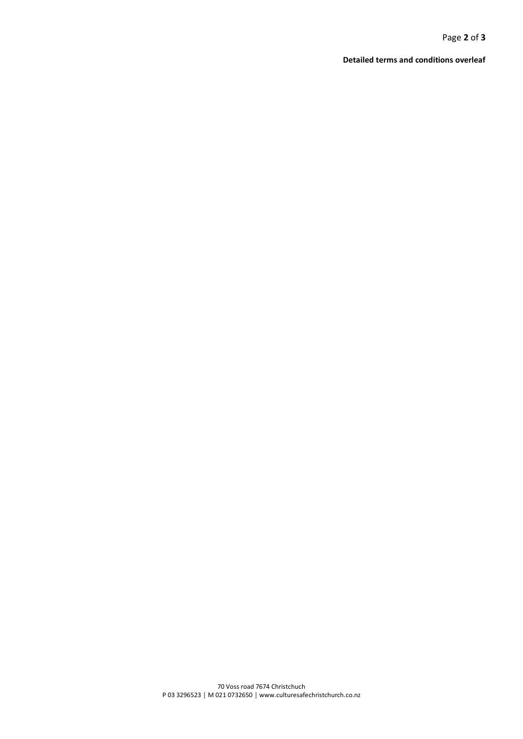Page **2** of **3**

**Detailed terms and conditions overleaf**